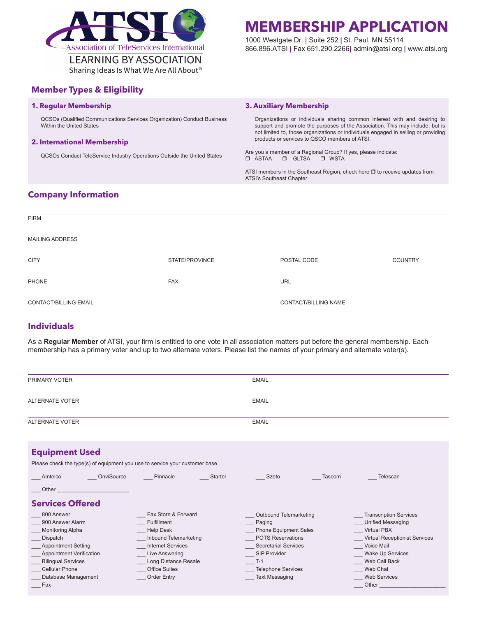

## **Member Types & Eligibility**

#### **1. Regular Membership**

QCSOs (Qualified Communications Services Organization) Conduct Business Within the United States

#### **2. International Membership**

QCSOs Conduct TeleService Industry Operations Outside the United States

## **MEMBERSHIP APPLICATION**

1000 Westgate Dr. **|** Suite 252 **|** St. Paul, MN 55114 866.896.ATSI **|** Fax 651.290.2266**|** admin@atsi.org **|** www.atsi.org

#### **3. Auxiliary Membership**

Organizations or individuals sharing common interest with and desiring to support and promote the purposes of the Association. This may include, but is not limited to, those organizations or individuals engaged in selling or providing products or services to QSCO members of ATSI.

Are you a member of a Regional Group? If yes, please indicate:<br>  $\Box$  ASTA  $\Box$  GLTSA  $\Box$  WSTA  $\Box$  GLTSA  $\Box$  WSTA

ATSI members in the Southeast Region, check here  $\Box$  to receive updates from ATSI's Southeast Chapter

### **Company Information**

| <b>FIRM</b>                  |                |                      |                |
|------------------------------|----------------|----------------------|----------------|
| <b>MAILING ADDRESS</b>       |                |                      |                |
| <b>CITY</b>                  | STATE/PROVINCE | POSTAL CODE          | <b>COUNTRY</b> |
| PHONE                        | <b>FAX</b>     | <b>URL</b>           |                |
| <b>CONTACT/BILLING EMAIL</b> |                | CONTACT/BILLING NAME |                |

## **Individuals**

As a **Regular Member** of ATSI, your firm is entitled to one vote in all association matters put before the general membership. Each membership has a primary voter and up to two alternate voters. Please list the names of your primary and alternate voter(s).

| PRIMARY VOTER                                                                                                                                                                                                              |                                                                                                                                                                                                            | <b>EMAIL</b>                                                                                                                                                                                                      |                                                                                                                                                                                                                                      |  |  |
|----------------------------------------------------------------------------------------------------------------------------------------------------------------------------------------------------------------------------|------------------------------------------------------------------------------------------------------------------------------------------------------------------------------------------------------------|-------------------------------------------------------------------------------------------------------------------------------------------------------------------------------------------------------------------|--------------------------------------------------------------------------------------------------------------------------------------------------------------------------------------------------------------------------------------|--|--|
| <b>ALTERNATE VOTER</b>                                                                                                                                                                                                     |                                                                                                                                                                                                            | <b>EMAIL</b>                                                                                                                                                                                                      |                                                                                                                                                                                                                                      |  |  |
| <b>ALTERNATE VOTER</b>                                                                                                                                                                                                     |                                                                                                                                                                                                            | <b>EMAIL</b>                                                                                                                                                                                                      |                                                                                                                                                                                                                                      |  |  |
| <b>Equipment Used</b><br>Please check the type(s) of equipment you use to service your customer base.                                                                                                                      |                                                                                                                                                                                                            |                                                                                                                                                                                                                   |                                                                                                                                                                                                                                      |  |  |
| OnviSource<br>Amtelco<br>Other<br><b>Services Offered</b>                                                                                                                                                                  | Pinnacle<br>Startel                                                                                                                                                                                        | Szeto<br>Tascom                                                                                                                                                                                                   | Telescan                                                                                                                                                                                                                             |  |  |
| 800 Answer<br>900 Answer Alarm<br><b>Monitoring Alpha</b><br>Dispatch<br><b>Appointment Setting</b><br><b>Appointment Verification</b><br><b>Bilingual Services</b><br><b>Cellular Phone</b><br>Database Management<br>Fax | Fax Store & Forward<br><b>Fulfillment</b><br><b>Help Desk</b><br>Inbound Telemarketing<br><b>Internet Services</b><br>Live Answering<br>Long Distance Resale<br><b>Office Suites</b><br><b>Order Entry</b> | Outbound Telemarketing<br>Paging<br><b>Phone Equipment Sales</b><br><b>POTS Reservations</b><br><b>Secretarial Services</b><br><b>SIP Provider</b><br>$T-1$<br><b>Telephone Services</b><br><b>Text Messaging</b> | <b>Transcription Services</b><br><b>Unified Messaging</b><br><b>Virtual PBX</b><br><b>Virtual Receptionist Services</b><br><b>Voice Mail</b><br><b>Wake Up Services</b><br>Web Call Back<br>Web Chat<br><b>Web Services</b><br>Other |  |  |